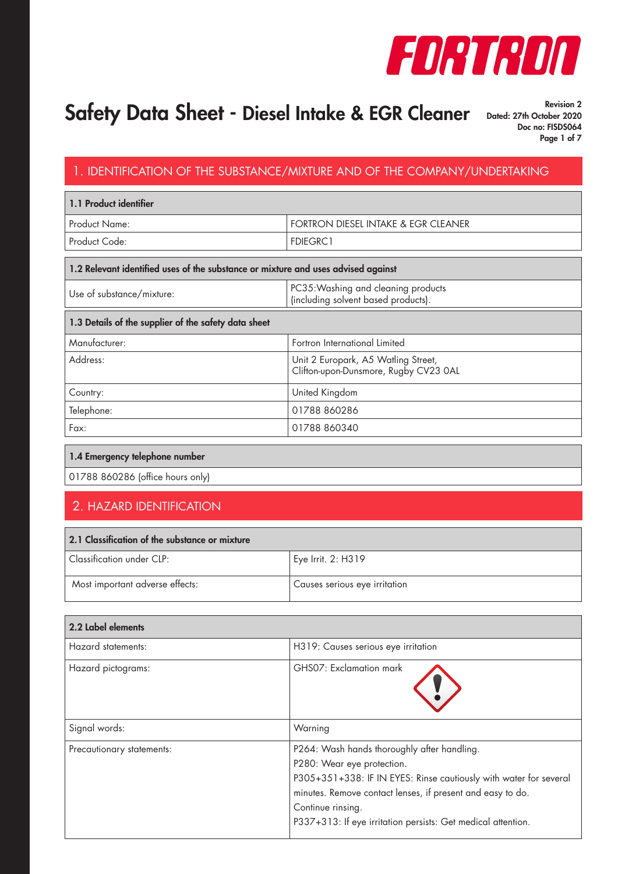

Revision 2 Doc no: FISDS064 Page 1 of 7

#### 1. IDENTIFICATION OF THE SUBSTANCE/MIXTURE AND OF THE COMPANY/UNDERTAKING

| 1.1 Product identifier |                                     |
|------------------------|-------------------------------------|
| l Product Name: I      | FORTRON DIESEL INTAKE & EGR CLEANER |
| Product Code:          | <b>FDIEGRC1</b>                     |

#### 1.2 Relevant identified uses of the substance or mixture and uses advised against

| Use of substance/mixture: | PC35: Washing and cleaning products<br>(including solvent based products). |
|---------------------------|----------------------------------------------------------------------------|

| 1.3 Details of the supplier of the safety data sheet |                                                                              |  |
|------------------------------------------------------|------------------------------------------------------------------------------|--|
| Manufacturer:                                        | Fortron International Limited                                                |  |
| Address:                                             | Unit 2 Europark, A5 Watling Street,<br>Clifton-upon-Dunsmore, Rugby CV23 0AL |  |
| Country:                                             | United Kingdom                                                               |  |
| Telephone:                                           | 01788 860286                                                                 |  |
| Fax:                                                 | 01788 860340                                                                 |  |

#### 1.4 Emergency telephone number

01788 860286 (office hours only)

#### 2. HAZARD IDENTIFICATION

| 2.1 Classification of the substance or mixture |                               |  |
|------------------------------------------------|-------------------------------|--|
| $\mid$ Classification under CLP:               | Eye Irrit. 2: H319            |  |
| Most important adverse effects:                | Causes serious eye irritation |  |

| 2.2 Label elements        |                                                                                                                                                                                                                                                                                                   |
|---------------------------|---------------------------------------------------------------------------------------------------------------------------------------------------------------------------------------------------------------------------------------------------------------------------------------------------|
| Hazard statements:        | H319: Causes serious eye irritation                                                                                                                                                                                                                                                               |
| Hazard pictograms:        | GHS07: Exclamation mark                                                                                                                                                                                                                                                                           |
| Signal words:             | Warning                                                                                                                                                                                                                                                                                           |
| Precautionary statements: | P264: Wash hands thoroughly after handling.<br>P280: Wear eye protection.<br>P305+351+338: IF IN EYES: Rinse cautiously with water for several<br>minutes. Remove contact lenses, if present and easy to do.<br>Continue rinsing.<br>P337+313: If eye irritation persists: Get medical attention. |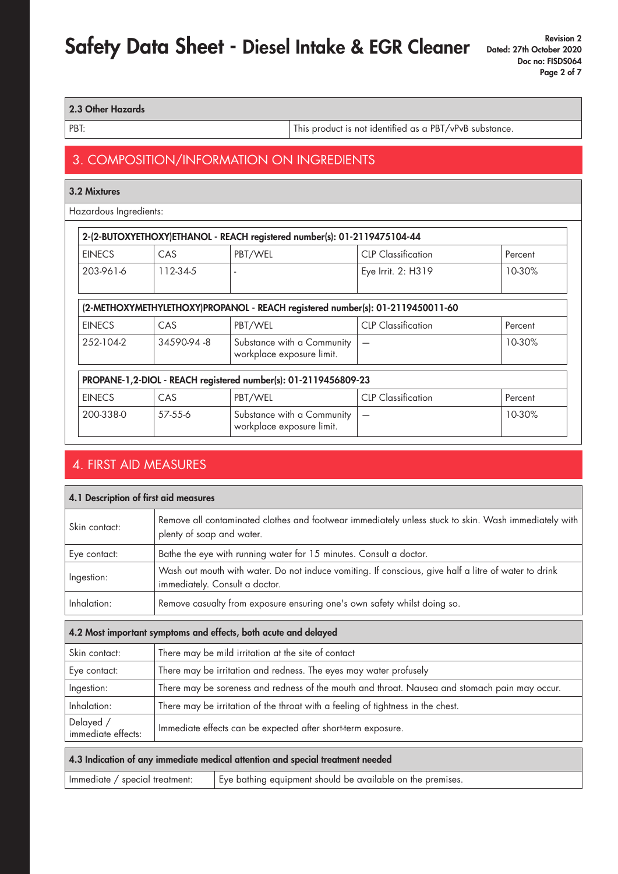#### 2.3 Other Hazards

PBT: This product is not identified as a PBT/vPvB substance.

#### 3. COMPOSITION/INFORMATION ON INGREDIENTS

| 3.2 Mixtures           |            |                                                                                |                           |         |
|------------------------|------------|--------------------------------------------------------------------------------|---------------------------|---------|
| Hazardous Ingredients: |            |                                                                                |                           |         |
|                        |            | 2-(2-BUTOXYETHOXY)ETHANOL - REACH registered number(s): 01-2119475104-44       |                           |         |
| <b>EINECS</b>          | <b>CAS</b> | PBT/WEL                                                                        | <b>CLP Classification</b> | Percent |
| 203-961-6              | 112-34-5   |                                                                                | Eye Irrit. 2: H319        | 10-30%  |
|                        |            | (2-METHOXYMETHYLETHOXY)PROPANOL - REACH registered number(s): 01-2119450011-60 |                           |         |
| <b>EINECS</b>          | <b>CAS</b> | PBT/WEL                                                                        | <b>CLP</b> Classification | Percent |
| 252-104-2              | 34590-94-8 | Substance with a Community<br>workplace exposure limit.                        |                           | 10-30%  |
|                        |            | PROPANE-1,2-DIOL - REACH registered number(s): 01-2119456809-23                |                           |         |
| <b>EINECS</b>          | <b>CAS</b> | PBT/WEL                                                                        | <b>CLP</b> Classification | Percent |
| 200-338-0              | 57-55-6    | Substance with a Community<br>workplace exposure limit.                        |                           | 10-30%  |

### 4. FIRST AID MEASURES

| 4.1 Description of first aid measures                                          |                                                                                                                                        |                                                                                                                                   |  |
|--------------------------------------------------------------------------------|----------------------------------------------------------------------------------------------------------------------------------------|-----------------------------------------------------------------------------------------------------------------------------------|--|
| Skin contact:                                                                  |                                                                                                                                        | Remove all contaminated clothes and footwear immediately unless stuck to skin. Wash immediately with<br>plenty of soap and water. |  |
| Eye contact:                                                                   |                                                                                                                                        | Bathe the eye with running water for 15 minutes. Consult a doctor.                                                                |  |
| Ingestion:                                                                     | Wash out mouth with water. Do not induce vomiting. If conscious, give half a litre of water to drink<br>immediately. Consult a doctor. |                                                                                                                                   |  |
| Inhalation:                                                                    | Remove casualty from exposure ensuring one's own safety whilst doing so.                                                               |                                                                                                                                   |  |
| 4.2 Most important symptoms and effects, both acute and delayed                |                                                                                                                                        |                                                                                                                                   |  |
| Skin contact:                                                                  | There may be mild irritation at the site of contact                                                                                    |                                                                                                                                   |  |
| Eye contact:                                                                   | There may be irritation and redness. The eyes may water profusely                                                                      |                                                                                                                                   |  |
| Ingestion:                                                                     | There may be soreness and redness of the mouth and throat. Nausea and stomach pain may occur.                                          |                                                                                                                                   |  |
| Inhalation:                                                                    | There may be irritation of the throat with a feeling of tightness in the chest.                                                        |                                                                                                                                   |  |
| Delayed /<br>immediate effects:                                                | Immediate effects can be expected after short-term exposure.                                                                           |                                                                                                                                   |  |
| 4.3 Indication of any immediate medical attention and special treatment needed |                                                                                                                                        |                                                                                                                                   |  |
|                                                                                | Eye bathing equipment should be available on the premises.<br>Immediate / special treatment:                                           |                                                                                                                                   |  |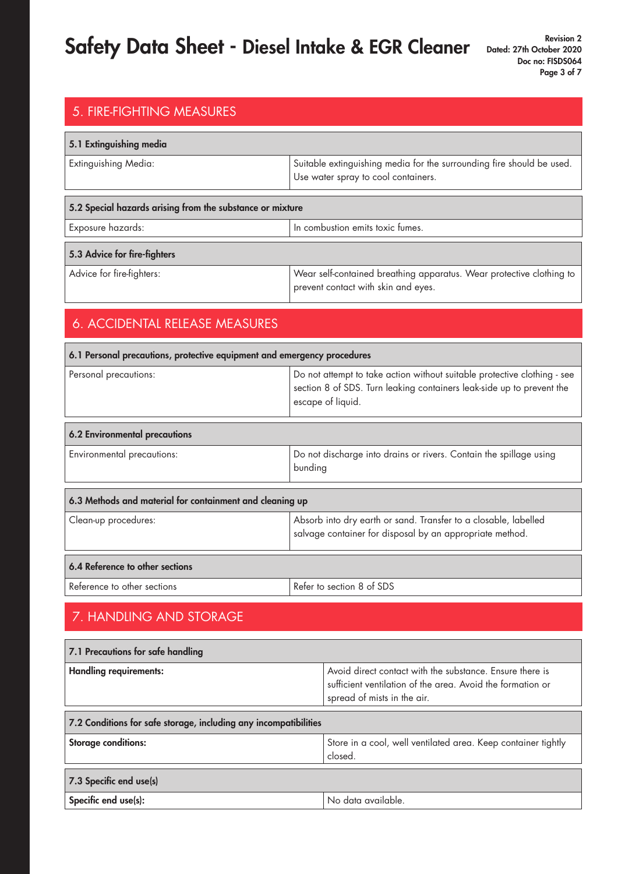| 5. FIRE-FIGHTING MEASURES                                               |                                                                                                                                                                        |  |  |  |
|-------------------------------------------------------------------------|------------------------------------------------------------------------------------------------------------------------------------------------------------------------|--|--|--|
| 5.1 Extinguishing media                                                 |                                                                                                                                                                        |  |  |  |
| <b>Extinguishing Media:</b>                                             | Suitable extinguishing media for the surrounding fire should be used.<br>Use water spray to cool containers.                                                           |  |  |  |
| 5.2 Special hazards arising from the substance or mixture               |                                                                                                                                                                        |  |  |  |
| Exposure hazards:                                                       | In combustion emits toxic fumes.                                                                                                                                       |  |  |  |
| 5.3 Advice for fire-fighters                                            |                                                                                                                                                                        |  |  |  |
| Advice for fire-fighters:                                               | Wear self-contained breathing apparatus. Wear protective clothing to<br>prevent contact with skin and eyes.                                                            |  |  |  |
| 6. ACCIDENTAL RELEASE MEASURES                                          |                                                                                                                                                                        |  |  |  |
| 6.1 Personal precautions, protective equipment and emergency procedures |                                                                                                                                                                        |  |  |  |
| Personal precautions:                                                   | Do not attempt to take action without suitable protective clothing - see<br>section 8 of SDS. Turn leaking containers leak-side up to prevent the<br>escape of liquid. |  |  |  |
| 6.2 Environmental precautions                                           |                                                                                                                                                                        |  |  |  |
| Environmental precautions:                                              | Do not discharge into drains or rivers. Contain the spillage using<br>bunding                                                                                          |  |  |  |
| 6.3 Methods and material for containment and cleaning up                |                                                                                                                                                                        |  |  |  |
| Clean-up procedures:                                                    | Absorb into dry earth or sand. Transfer to a closable, labelled<br>salvage container for disposal by an appropriate method.                                            |  |  |  |
| 6.4 Reference to other sections                                         |                                                                                                                                                                        |  |  |  |
| Reference to other sections                                             | Refer to section 8 of SDS                                                                                                                                              |  |  |  |
| 7. HANDLING AND STORAGE                                                 |                                                                                                                                                                        |  |  |  |
| 7.1 Precautions for safe handling                                       |                                                                                                                                                                        |  |  |  |
| <b>Handling requirements:</b>                                           | Avoid direct contact with the substance. Ensure there is<br>sufficient ventilation of the area. Avoid the formation or<br>spread of mists in the air.                  |  |  |  |

| 7.2 Conditions for safe storage, including any incompatibilities |                                                                          |  |
|------------------------------------------------------------------|--------------------------------------------------------------------------|--|
| <b>Storage conditions:</b>                                       | Store in a cool, well ventilated area. Keep container tightly<br>closed. |  |
| 7.3 Specific end use(s)                                          |                                                                          |  |
| Specific end use(s):                                             | No data available.                                                       |  |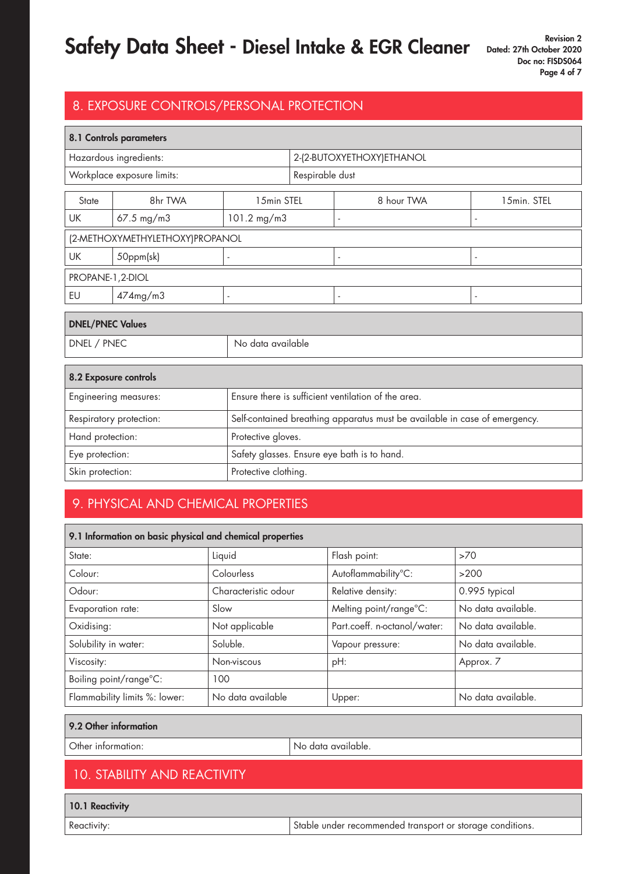### 8. EXPOSURE CONTROLS/PERSONAL PROTECTION

| 8.1 Controls parameters                                                      |                                 |                                                                            |                                             |                          |                |
|------------------------------------------------------------------------------|---------------------------------|----------------------------------------------------------------------------|---------------------------------------------|--------------------------|----------------|
| Hazardous ingredients:                                                       |                                 |                                                                            | 2-(2-BUTOXYETHOXY)ETHANOL                   |                          |                |
|                                                                              | Workplace exposure limits:      |                                                                            | Respirable dust                             |                          |                |
| State                                                                        | 8hr TWA                         | 15min STEL                                                                 |                                             | 8 hour TWA               | 15min. STEL    |
| UK                                                                           | $67.5 \text{ mg/m}$ 3           | 101.2 mg/m3                                                                |                                             | $\overline{\phantom{a}}$ |                |
|                                                                              | (2-METHOXYMETHYLETHOXY)PROPANOL |                                                                            |                                             |                          |                |
| UK                                                                           | 50ppm(sk)                       |                                                                            |                                             | $\overline{\phantom{a}}$ |                |
| PROPANE-1, 2-DIOL                                                            |                                 |                                                                            |                                             |                          |                |
| EU                                                                           | 474mg/m3                        | ÷,                                                                         |                                             | ä,                       | $\blacksquare$ |
| <b>DNEL/PNEC Values</b>                                                      |                                 |                                                                            |                                             |                          |                |
| DNEL / PNEC<br>No data available                                             |                                 |                                                                            |                                             |                          |                |
| 8.2 Exposure controls                                                        |                                 |                                                                            |                                             |                          |                |
| Ensure there is sufficient ventilation of the area.<br>Engineering measures: |                                 |                                                                            |                                             |                          |                |
| Respiratory protection:                                                      |                                 | Self-contained breathing apparatus must be available in case of emergency. |                                             |                          |                |
| Hand protection:                                                             |                                 | Protective gloves.                                                         |                                             |                          |                |
| Eye protection:                                                              |                                 |                                                                            | Safety glasses. Ensure eye bath is to hand. |                          |                |
| Skin protection:                                                             |                                 | Protective clothing.                                                       |                                             |                          |                |

### 9. PHYSICAL AND CHEMICAL PROPERTIES

| 9.1 Information on basic physical and chemical properties |                      |                              |                    |  |
|-----------------------------------------------------------|----------------------|------------------------------|--------------------|--|
| State:                                                    | Liquid               | Flash point:                 | >70                |  |
| Colour:                                                   | Colourless           | Autoflammability°C:          | >200               |  |
| Odour:                                                    | Characteristic odour | Relative density:            | 0.995 typical      |  |
| Evaporation rate:                                         | Slow                 | Melting point/range°C:       | No data available. |  |
| Oxidising:                                                | Not applicable       | Part.coeff. n-octanol/water: | No data available. |  |
| Solubility in water:                                      | Soluble.             | Vapour pressure:             | No data available. |  |
| Viscosity:                                                | Non-viscous          | pH:                          | Approx. 7          |  |
| Boiling point/range°C:                                    | 100                  |                              |                    |  |
| Flammability limits %: lower:                             | No data available    | Upper:                       | No data available. |  |

#### 9.2 Other information

Other information:  $\vert$  No data available.

### 10. STABILITY AND REACTIVITY

10.1 Reactivity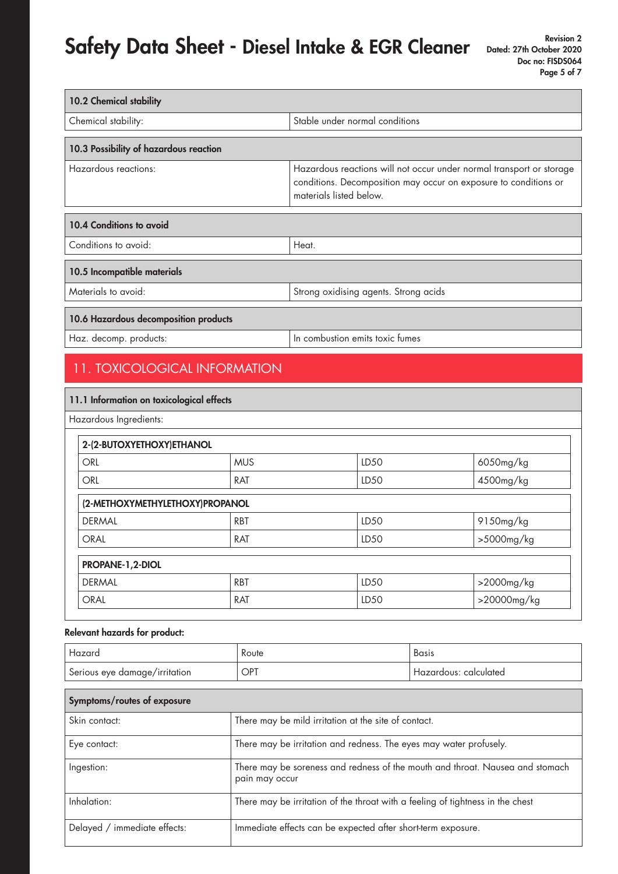| 10.2 Chemical stability                |                                                                                                                                                                     |
|----------------------------------------|---------------------------------------------------------------------------------------------------------------------------------------------------------------------|
| Chemical stability:                    | Stable under normal conditions                                                                                                                                      |
|                                        |                                                                                                                                                                     |
| 10.3 Possibility of hazardous reaction |                                                                                                                                                                     |
| Hazardous reactions:                   | Hazardous reactions will not occur under normal transport or storage<br>conditions. Decomposition may occur on exposure to conditions or<br>materials listed below. |
|                                        |                                                                                                                                                                     |
| 10.4 Conditions to avoid               |                                                                                                                                                                     |
| Conditions to avoid:                   | Heat.                                                                                                                                                               |
| 10.5 Incompatible materials            |                                                                                                                                                                     |
| Materials to avoid:                    | Strong oxidising agents. Strong acids                                                                                                                               |
|                                        |                                                                                                                                                                     |
| 10.6 Hazardous decomposition products  |                                                                                                                                                                     |
| Haz. decomp. products:                 | In combustion emits toxic fumes                                                                                                                                     |

### 11. TOXICOLOGICAL INFORMATION

| 11.1 Information on toxicological effects |            |                  |             |
|-------------------------------------------|------------|------------------|-------------|
| Hazardous Ingredients:                    |            |                  |             |
| 2-(2-BUTOXYETHOXY)ETHANOL                 |            |                  |             |
| <b>ORL</b>                                | <b>MUS</b> | LD50             | 6050mg/kg   |
| <b>ORL</b>                                | <b>RAT</b> | LD <sub>50</sub> | 4500mg/kg   |
| (2-METHOXYMETHYLETHOXY)PROPANOL           |            |                  |             |
| <b>DERMAL</b>                             | <b>RBT</b> | LD <sub>50</sub> | 9150mg/kg   |
| <b>ORAL</b>                               | <b>RAT</b> | LD <sub>50</sub> | >5000mg/kg  |
| PROPANE-1,2-DIOL                          |            |                  |             |
| <b>DERMAL</b>                             | <b>RBT</b> | LD <sub>50</sub> | >2000mg/kg  |
| <b>ORAL</b>                               | RAT        | LD <sub>50</sub> | >20000mg/kg |

#### Relevant hazards for product:

| Hazard                        | Route | Basis                 |
|-------------------------------|-------|-----------------------|
| Serious eye damage/irritation | OPT   | Hazardous: calculated |

| Symptoms/routes of exposure  |                                                                                                 |  |
|------------------------------|-------------------------------------------------------------------------------------------------|--|
| Skin contact:                | There may be mild irritation at the site of contact.                                            |  |
| Eye contact:                 | There may be irritation and redness. The eyes may water profusely.                              |  |
| Ingestion:                   | There may be soreness and redness of the mouth and throat. Nausea and stomach<br>pain may occur |  |
| Inhalation:                  | There may be irritation of the throat with a feeling of tightness in the chest                  |  |
| Delayed / immediate effects: | Immediate effects can be expected after short-term exposure.                                    |  |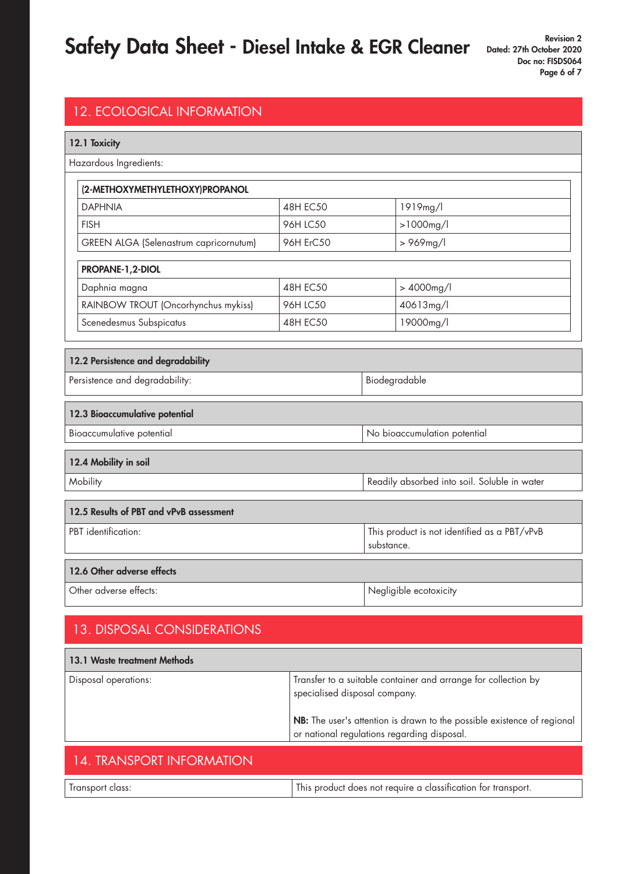| <b>12. ECOLOGICAL INFORMATION</b>       |                 |  |                                              |
|-----------------------------------------|-----------------|--|----------------------------------------------|
| 12.1 Toxicity                           |                 |  |                                              |
| Hazardous Ingredients:                  |                 |  |                                              |
| (2-METHOXYMETHYLETHOXY)PROPANOL         |                 |  |                                              |
| <b>DAPHNIA</b>                          | <b>48H EC50</b> |  | 1919mg/l                                     |
| <b>FISH</b>                             | 96H LC50        |  | $>1000$ mg/l                                 |
| GREEN ALGA (Selenastrum capricornutum)  | 96H ErC50       |  | >969mg/l                                     |
| PROPANE-1,2-DIOL                        |                 |  |                                              |
| Daphnia magna                           | <b>48H EC50</b> |  | > 4000mg/l                                   |
| RAINBOW TROUT (Oncorhynchus mykiss)     | 96H LC50        |  | 40613mg/l                                    |
| Scenedesmus Subspicatus                 | <b>48H EC50</b> |  | 19000mg/l                                    |
|                                         |                 |  |                                              |
| 12.2 Persistence and degradability      |                 |  |                                              |
| Persistence and degradability:          |                 |  | Biodegradable                                |
| 12.3 Bioaccumulative potential          |                 |  |                                              |
| Bioaccumulative potential               |                 |  | No bioaccumulation potential                 |
| 12.4 Mobility in soil                   |                 |  |                                              |
| Mobility                                |                 |  | Readily absorbed into soil. Soluble in water |
| 12 5 Decults of DRT and vDvR assessment |                 |  |                                              |

| 12.5 Results of PBT and vPvB assessment |                                              |  |
|-----------------------------------------|----------------------------------------------|--|
| PBT identification:                     | This product is not identified as a PBT/vPvB |  |
|                                         | substance.                                   |  |
|                                         |                                              |  |
| 12.6 Other adverse effects              |                                              |  |
| Other adverse effects:                  | Negligible ecotoxicity                       |  |

### 13. DISPOSAL CONSIDERATIONS

| <b>13.1 Waste treatment Methods</b> |                                                                                                                                                                                                                           |
|-------------------------------------|---------------------------------------------------------------------------------------------------------------------------------------------------------------------------------------------------------------------------|
| Disposal operations:                | Transfer to a suitable container and arrange for collection by<br>specialised disposal company.<br>NB: The user's attention is drawn to the possible existence of regional<br>or national regulations regarding disposal. |
|                                     |                                                                                                                                                                                                                           |

#### 14. TRANSPORT INFORMATION

| uass | classitication<br><b>AULIC</b><br>വറലെ<br>not<br>transbon.<br>וחרזי<br>1110 |
|------|-----------------------------------------------------------------------------|